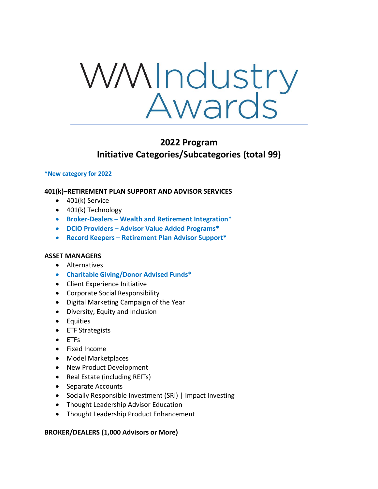

# **2022 Program Initiative Categories/Subcategories (total 99)**

#### **\*New category for 2022**

# **401(k)–RETIREMENT PLAN SUPPORT AND ADVISOR SERVICES**

- 401(k) Service
- 401(k) Technology
- **Broker-Dealers – Wealth and Retirement Integration\***
- **DCIO Providers – Advisor Value Added Programs\***
- **Record Keepers – Retirement Plan Advisor Support\***

# **ASSET MANAGERS**

- Alternatives
- **Charitable Giving/Donor Advised Funds\***
- Client Experience Initiative
- Corporate Social Responsibility
- Digital Marketing Campaign of the Year
- Diversity, Equity and Inclusion
- Equities
- ETF Strategists
- ETFs
- Fixed Income
- Model Marketplaces
- New Product Development
- Real Estate (including REITs)
- Separate Accounts
- Socially Responsible Investment (SRI) | Impact Investing
- Thought Leadership Advisor Education
- Thought Leadership Product Enhancement

# **BROKER/DEALERS (1,000 Advisors or More)**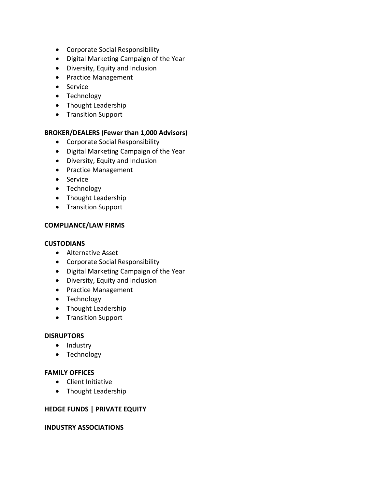- Corporate Social Responsibility
- Digital Marketing Campaign of the Year
- Diversity, Equity and Inclusion
- Practice Management
- Service
- Technology
- Thought Leadership
- Transition Support

# **BROKER/DEALERS (Fewer than 1,000 Advisors)**

- Corporate Social Responsibility
- Digital Marketing Campaign of the Year
- Diversity, Equity and Inclusion
- Practice Management
- Service
- Technology
- Thought Leadership
- Transition Support

# **COMPLIANCE/LAW FIRMS**

#### **CUSTODIANS**

- Alternative Asset
- Corporate Social Responsibility
- Digital Marketing Campaign of the Year
- Diversity, Equity and Inclusion
- Practice Management
- Technology
- Thought Leadership
- Transition Support

# **DISRUPTORS**

- Industry
- Technology

# **FAMILY OFFICES**

- Client Initiative
- Thought Leadership

# **HEDGE FUNDS | PRIVATE EQUITY**

# **INDUSTRY ASSOCIATIONS**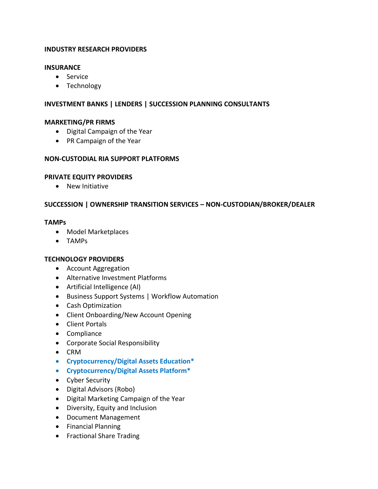# **INDUSTRY RESEARCH PROVIDERS**

#### **INSURANCE**

- Service
- Technology

# **INVESTMENT BANKS | LENDERS | SUCCESSION PLANNING CONSULTANTS**

#### **MARKETING/PR FIRMS**

- Digital Campaign of the Year
- PR Campaign of the Year

#### **NON-CUSTODIAL RIA SUPPORT PLATFORMS**

#### **PRIVATE EQUITY PROVIDERS**

• New Initiative

# **SUCCESSION | OWNERSHIP TRANSITION SERVICES – NON-CUSTODIAN/BROKER/DEALER**

#### **TAMPs**

- Model Marketplaces
- TAMPs

# **TECHNOLOGY PROVIDERS**

- Account Aggregation
- Alternative Investment Platforms
- Artificial Intelligence (AI)
- Business Support Systems | Workflow Automation
- Cash Optimization
- Client Onboarding/New Account Opening
- Client Portals
- Compliance
- Corporate Social Responsibility
- CRM
- **Cryptocurrency/Digital Assets Education\***
- **Cryptocurrency/Digital Assets Platform\***
- Cyber Security
- Digital Advisors (Robo)
- Digital Marketing Campaign of the Year
- Diversity, Equity and Inclusion
- Document Management
- Financial Planning
- Fractional Share Trading